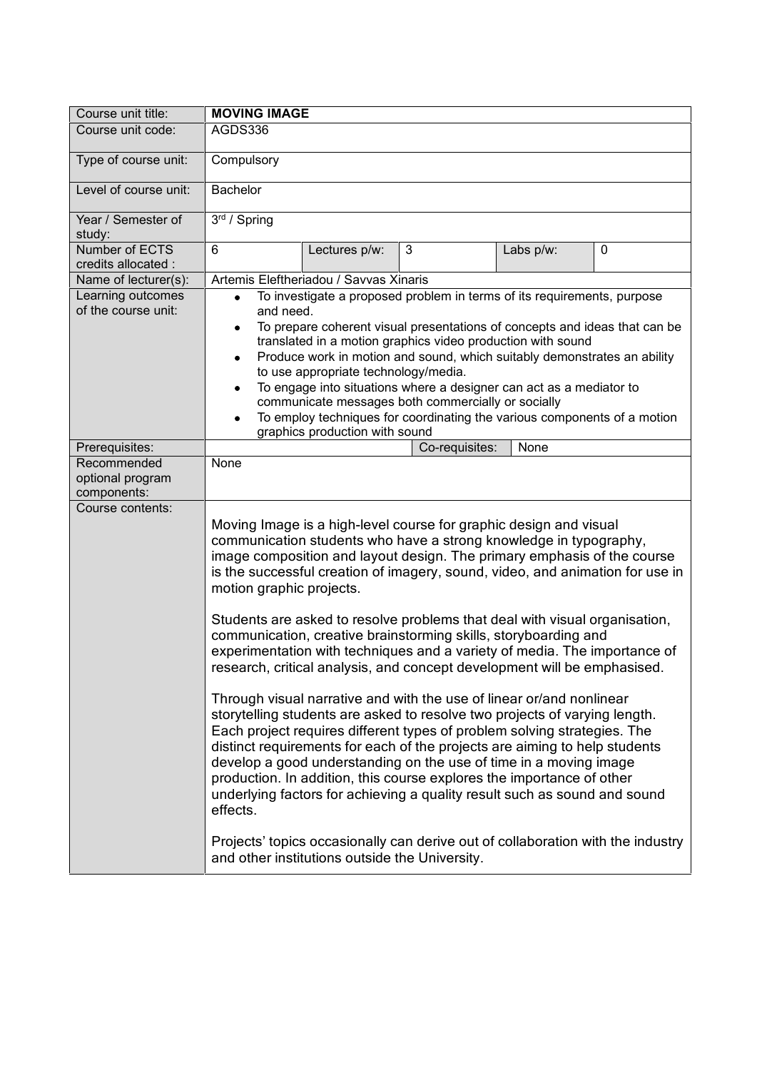| Course unit title:                             | <b>MOVING IMAGE</b>                                                                                                                                                                                                                                                                                                                                                                                                                                                                                                                                                                                                                                                                                                                                                                                                                                                                                                                                                                                                                                                                                                                                                                             |                                                |                                                                                 |           |             |
|------------------------------------------------|-------------------------------------------------------------------------------------------------------------------------------------------------------------------------------------------------------------------------------------------------------------------------------------------------------------------------------------------------------------------------------------------------------------------------------------------------------------------------------------------------------------------------------------------------------------------------------------------------------------------------------------------------------------------------------------------------------------------------------------------------------------------------------------------------------------------------------------------------------------------------------------------------------------------------------------------------------------------------------------------------------------------------------------------------------------------------------------------------------------------------------------------------------------------------------------------------|------------------------------------------------|---------------------------------------------------------------------------------|-----------|-------------|
| Course unit code:                              | AGDS336                                                                                                                                                                                                                                                                                                                                                                                                                                                                                                                                                                                                                                                                                                                                                                                                                                                                                                                                                                                                                                                                                                                                                                                         |                                                |                                                                                 |           |             |
| Type of course unit:                           | Compulsory                                                                                                                                                                                                                                                                                                                                                                                                                                                                                                                                                                                                                                                                                                                                                                                                                                                                                                                                                                                                                                                                                                                                                                                      |                                                |                                                                                 |           |             |
| Level of course unit:                          | <b>Bachelor</b>                                                                                                                                                                                                                                                                                                                                                                                                                                                                                                                                                                                                                                                                                                                                                                                                                                                                                                                                                                                                                                                                                                                                                                                 |                                                |                                                                                 |           |             |
| Year / Semester of<br>study:                   | 3rd / Spring                                                                                                                                                                                                                                                                                                                                                                                                                                                                                                                                                                                                                                                                                                                                                                                                                                                                                                                                                                                                                                                                                                                                                                                    |                                                |                                                                                 |           |             |
| Number of ECTS<br>credits allocated :          | 6                                                                                                                                                                                                                                                                                                                                                                                                                                                                                                                                                                                                                                                                                                                                                                                                                                                                                                                                                                                                                                                                                                                                                                                               | Lectures p/w:                                  | 3                                                                               | Labs p/w: | $\mathbf 0$ |
| Name of lecturer(s):                           |                                                                                                                                                                                                                                                                                                                                                                                                                                                                                                                                                                                                                                                                                                                                                                                                                                                                                                                                                                                                                                                                                                                                                                                                 | Artemis Eleftheriadou / Savvas Xinaris         |                                                                                 |           |             |
| Learning outcomes<br>of the course unit:       | To investigate a proposed problem in terms of its requirements, purpose<br>$\bullet$<br>and need.<br>To prepare coherent visual presentations of concepts and ideas that can be<br>٠<br>translated in a motion graphics video production with sound<br>Produce work in motion and sound, which suitably demonstrates an ability<br>٠<br>to use appropriate technology/media.<br>To engage into situations where a designer can act as a mediator to<br>٠<br>communicate messages both commercially or socially<br>To employ techniques for coordinating the various components of a motion<br>graphics production with sound                                                                                                                                                                                                                                                                                                                                                                                                                                                                                                                                                                    |                                                |                                                                                 |           |             |
| Prerequisites:                                 |                                                                                                                                                                                                                                                                                                                                                                                                                                                                                                                                                                                                                                                                                                                                                                                                                                                                                                                                                                                                                                                                                                                                                                                                 |                                                | Co-requisites:                                                                  | None      |             |
| Recommended<br>optional program<br>components: | None                                                                                                                                                                                                                                                                                                                                                                                                                                                                                                                                                                                                                                                                                                                                                                                                                                                                                                                                                                                                                                                                                                                                                                                            |                                                |                                                                                 |           |             |
| Course contents:                               | Moving Image is a high-level course for graphic design and visual<br>communication students who have a strong knowledge in typography,<br>image composition and layout design. The primary emphasis of the course<br>is the successful creation of imagery, sound, video, and animation for use in<br>motion graphic projects.<br>Students are asked to resolve problems that deal with visual organisation,<br>communication, creative brainstorming skills, storyboarding and<br>experimentation with techniques and a variety of media. The importance of<br>research, critical analysis, and concept development will be emphasised.<br>Through visual narrative and with the use of linear or/and nonlinear<br>storytelling students are asked to resolve two projects of varying length.<br>Each project requires different types of problem solving strategies. The<br>distinct requirements for each of the projects are aiming to help students<br>develop a good understanding on the use of time in a moving image<br>production. In addition, this course explores the importance of other<br>underlying factors for achieving a quality result such as sound and sound<br>effects. |                                                |                                                                                 |           |             |
|                                                |                                                                                                                                                                                                                                                                                                                                                                                                                                                                                                                                                                                                                                                                                                                                                                                                                                                                                                                                                                                                                                                                                                                                                                                                 | and other institutions outside the University. | Projects' topics occasionally can derive out of collaboration with the industry |           |             |